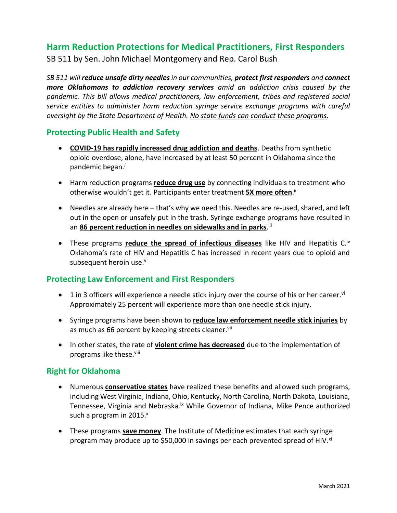# **Harm Reduction Protections for Medical Practitioners, First Responders**

SB 511 by Sen. John Michael Montgomery and Rep. Carol Bush

*SB 511 will reduce unsafe dirty needlesin our communities, protect first responders and connect more Oklahomans to addiction recovery services amid an addiction crisis caused by the pandemic. This bill allows medical practitioners, law enforcement, tribes and registered social service entities to administer harm reduction syringe service exchange programs with careful oversight by the State Department of Health. No state funds can conduct these programs.*

## **Protecting Public Health and Safety**

- **COVID-19 has rapidly increased drug addiction and deaths**. Deaths from synthetic opioid overdose, alone, have increased by at least 50 percent in Oklahoma since the pandemic began*. i*
- Harm reduction programs **reduce drug use** by connecting individuals to treatment who otherwise wouldn't get it. Participants enter treatment **5X more often**. ii
- Needles are already here that's why we need this. Needles are re-used, shared, and left out in the open or unsafely put in the trash. Syringe exchange programs have resulted in an 86 percent reduction in needles on sidewalks and in parks.<sup>iii</sup>
- These programs **reduce the spread of infectious diseases** like HIV and Hepatitis C.<sup>iv</sup> Oklahoma's rate of HIV and Hepatitis C has increased in recent years due to opioid and subsequent heroin use.<sup>v</sup>

# **Protecting Law Enforcement and First Responders**

- $\bullet$  1 in 3 officers will experience a needle stick injury over the course of his or her career.<sup>vi</sup> Approximately 25 percent will experience more than one needle stick injury.
- Syringe programs have been shown to **reduce law enforcement needle stick injuries** by as much as 66 percent by keeping streets cleaner.<sup>vii</sup>
- In other states, the rate of **violent crime has decreased** due to the implementation of programs like these.<sup>viii</sup>

### **Right for Oklahoma**

- Numerous **conservative states** have realized these benefits and allowed such programs, including West Virginia, Indiana, Ohio, Kentucky, North Carolina, North Dakota, Louisiana, Tennessee, Virginia and Nebraska.<sup>ix</sup> While Governor of Indiana, Mike Pence authorized such a program in  $2015$ . $x$
- These programs **save money**. The Institute of Medicine estimates that each syringe program may produce up to \$50,000 in savings per each prevented spread of HIV.<sup>xi</sup>